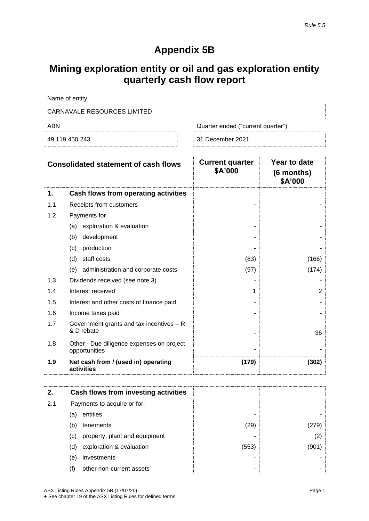## **Appendix 5B**

# **Mining exploration entity or oil and gas exploration entity quarterly cash flow report**

| Name of entity              |                                   |
|-----------------------------|-----------------------------------|
| CARNAVALE RESOURCES LIMITED |                                   |
| ABN                         | Quarter ended ("current quarter") |
| 49 119 450 243              | 31 December 2021                  |

| <b>Consolidated statement of cash flows</b> |                                                            | <b>Current quarter</b><br>\$A'000 | Year to date<br>(6 months)<br>\$A'000 |  |
|---------------------------------------------|------------------------------------------------------------|-----------------------------------|---------------------------------------|--|
| 1.                                          | Cash flows from operating activities                       |                                   |                                       |  |
| 1.1                                         | Receipts from customers                                    |                                   |                                       |  |
| 1.2                                         | Payments for                                               |                                   |                                       |  |
|                                             | exploration & evaluation<br>(a)                            |                                   |                                       |  |
|                                             | development<br>(b)                                         |                                   |                                       |  |
|                                             | production<br>(c)                                          |                                   |                                       |  |
|                                             | staff costs<br>(d)                                         | (83)                              | (166)                                 |  |
|                                             | administration and corporate costs<br>(e)                  | (97)                              | (174)                                 |  |
| 1.3                                         | Dividends received (see note 3)                            |                                   |                                       |  |
| 1.4                                         | Interest received                                          | 1                                 | $\overline{2}$                        |  |
| 1.5                                         | Interest and other costs of finance paid                   |                                   |                                       |  |
| 1.6                                         | Income taxes paid                                          |                                   |                                       |  |
| 1.7                                         | Government grants and tax incentives $- R$<br>& D rebate   |                                   | 36                                    |  |
| 1.8                                         | Other - Due diligence expenses on project<br>opportunities |                                   |                                       |  |
| 1.9                                         | Net cash from / (used in) operating<br>activities          | (179)                             | (302)                                 |  |

| 2.  |                             | Cash flows from investing activities |       |       |
|-----|-----------------------------|--------------------------------------|-------|-------|
| 2.1 | Payments to acquire or for: |                                      |       |       |
|     | (a)                         | entities                             | -     |       |
|     | (b)                         | tenements                            | (29)  | (279) |
|     | (c)                         | property, plant and equipment        | -     | (2)   |
|     | (d)                         | exploration & evaluation             | (553) | (901) |
|     | (e)                         | investments                          | -     |       |
|     | (f)                         | other non-current assets             | ۰     |       |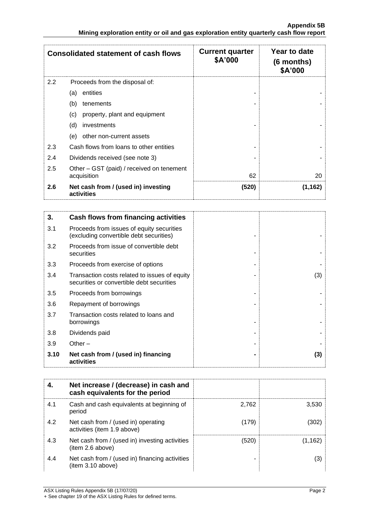|     | <b>Consolidated statement of cash flows</b>              | <b>Current quarter</b><br>\$A'000 | Year to date<br>$(6$ months)<br>\$A'000 |
|-----|----------------------------------------------------------|-----------------------------------|-----------------------------------------|
| 2.2 | Proceeds from the disposal of:                           |                                   |                                         |
|     | entities<br>(a)                                          |                                   |                                         |
|     | (b)<br>tenements                                         |                                   |                                         |
|     | (c)<br>property, plant and equipment                     |                                   |                                         |
|     | (d)<br>investments                                       |                                   |                                         |
|     | other non-current assets<br>(e)                          |                                   |                                         |
| 2.3 | Cash flows from loans to other entities                  |                                   |                                         |
| 2.4 | Dividends received (see note 3)                          |                                   |                                         |
| 2.5 | Other – GST (paid) / received on tenement<br>acquisition | 62                                | 20                                      |
| 2.6 | Net cash from / (used in) investing<br>activities        | (520)                             | (1, 162)                                |

| 3.   | Cash flows from financing activities                                                       |     |
|------|--------------------------------------------------------------------------------------------|-----|
| 3.1  | Proceeds from issues of equity securities<br>(excluding convertible debt securities)       |     |
| 3.2  | Proceeds from issue of convertible debt<br>securities                                      |     |
| 3.3  | Proceeds from exercise of options                                                          |     |
| 3.4  | Transaction costs related to issues of equity<br>securities or convertible debt securities | (3) |
| 3.5  | Proceeds from borrowings                                                                   |     |
| 3.6  | Repayment of borrowings                                                                    |     |
| 3.7  | Transaction costs related to loans and<br>borrowings                                       |     |
| 3.8  | Dividends paid                                                                             |     |
| 3.9  | Other $-$                                                                                  |     |
| 3.10 | Net cash from / (used in) financing<br>activities                                          | (3) |

|     | Net increase / (decrease) in cash and<br>cash equivalents for the period |       |         |
|-----|--------------------------------------------------------------------------|-------|---------|
| 4.1 | Cash and cash equivalents at beginning of<br>period                      | 2,762 | 3,530   |
| 4.2 | Net cash from / (used in) operating<br>activities (item 1.9 above)       | (179) | 302)    |
| 4.3 | Net cash from / (used in) investing activities<br>(item 2.6 above)       | (520) | (1.162) |
| 4.4 | Net cash from / (used in) financing activities<br>(item 3.10 above)      |       | (3)     |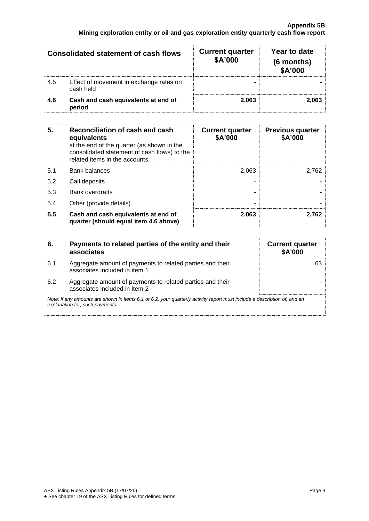| Consolidated statement of cash flows |                                                      | <b>Current quarter</b><br>\$A'000 | Year to date<br>(6 months)<br>\$A'000 |
|--------------------------------------|------------------------------------------------------|-----------------------------------|---------------------------------------|
| 4.5                                  | Effect of movement in exchange rates on<br>cash held |                                   |                                       |
| 4.6                                  | Cash and cash equivalents at end of<br>period        | 2.063                             | 2.063                                 |

| 5.  | Reconciliation of cash and cash<br>equivalents<br>at the end of the quarter (as shown in the<br>consolidated statement of cash flows) to the<br>related items in the accounts | <b>Current quarter</b><br>\$A'000 | <b>Previous quarter</b><br>\$A'000 |
|-----|-------------------------------------------------------------------------------------------------------------------------------------------------------------------------------|-----------------------------------|------------------------------------|
| 5.1 | <b>Bank balances</b>                                                                                                                                                          | 2.063                             | 2.762                              |
| 5.2 | Call deposits                                                                                                                                                                 |                                   |                                    |
| 5.3 | <b>Bank overdrafts</b>                                                                                                                                                        |                                   |                                    |
| 5.4 | Other (provide details)                                                                                                                                                       | -                                 |                                    |
| 5.5 | Cash and cash equivalents at end of<br>quarter (should equal item 4.6 above)                                                                                                  | 2,063                             | 2.762                              |

| 6.  | Payments to related parties of the entity and their<br>associates                                                                                           | <b>Current quarter</b><br><b>\$A'000</b> |  |
|-----|-------------------------------------------------------------------------------------------------------------------------------------------------------------|------------------------------------------|--|
| 6.1 | Aggregate amount of payments to related parties and their<br>associates included in item 1                                                                  |                                          |  |
| 6.2 | Aggregate amount of payments to related parties and their<br>associates included in item 2                                                                  |                                          |  |
|     | Note: if any amounts are shown in items 6.1 or 6.2, your quarterly activity report must include a description of, and an<br>explanation for, such payments. |                                          |  |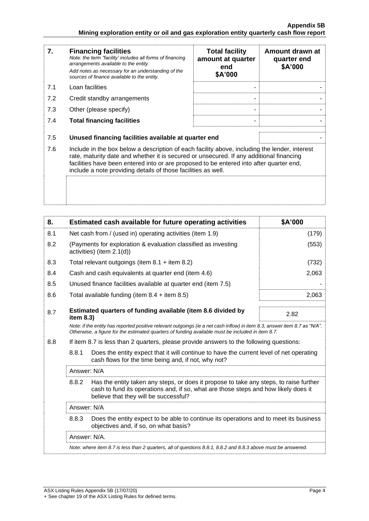| 7.  | <b>Financing facilities</b><br>Note: the term "facility' includes all forms of financing<br>arrangements available to the entity.<br>Add notes as necessary for an understanding of the<br>sources of finance available to the entity.                                                                                                               | <b>Total facility</b><br>amount at quarter<br>end<br>\$A'000 | Amount drawn at<br>quarter end<br>\$A'000 |
|-----|------------------------------------------------------------------------------------------------------------------------------------------------------------------------------------------------------------------------------------------------------------------------------------------------------------------------------------------------------|--------------------------------------------------------------|-------------------------------------------|
| 7.1 | Loan facilities                                                                                                                                                                                                                                                                                                                                      |                                                              |                                           |
| 7.2 | Credit standby arrangements                                                                                                                                                                                                                                                                                                                          |                                                              |                                           |
| 7.3 | Other (please specify)                                                                                                                                                                                                                                                                                                                               |                                                              |                                           |
| 7.4 | <b>Total financing facilities</b>                                                                                                                                                                                                                                                                                                                    |                                                              |                                           |
| 7.5 | Unused financing facilities available at quarter end                                                                                                                                                                                                                                                                                                 |                                                              |                                           |
| 7.6 | Include in the box below a description of each facility above, including the lender, interest<br>rate, maturity date and whether it is secured or unsecured. If any additional financing<br>facilities have been entered into or are proposed to be entered into after quarter end,<br>include a note providing details of those facilities as well. |                                                              |                                           |
|     |                                                                                                                                                                                                                                                                                                                                                      |                                                              |                                           |

| 8.          |                                                                                                                                                                                                                                 | Estimated cash available for future operating activities                                                                                                                                                                        | \$A'000 |
|-------------|---------------------------------------------------------------------------------------------------------------------------------------------------------------------------------------------------------------------------------|---------------------------------------------------------------------------------------------------------------------------------------------------------------------------------------------------------------------------------|---------|
| 8.1         |                                                                                                                                                                                                                                 | Net cash from / (used in) operating activities (item 1.9)                                                                                                                                                                       | (179)   |
| 8.2         |                                                                                                                                                                                                                                 | (Payments for exploration & evaluation classified as investing<br>activities) (item 2.1(d))                                                                                                                                     | (553)   |
| 8.3         |                                                                                                                                                                                                                                 | Total relevant outgoings (item $8.1 +$ item $8.2$ )                                                                                                                                                                             | (732)   |
| 8.4         |                                                                                                                                                                                                                                 | Cash and cash equivalents at quarter end (item 4.6)                                                                                                                                                                             | 2,063   |
| 8.5         |                                                                                                                                                                                                                                 | Unused finance facilities available at quarter end (item 7.5)                                                                                                                                                                   |         |
| 8.6         |                                                                                                                                                                                                                                 | Total available funding (item $8.4 +$ item $8.5$ )                                                                                                                                                                              | 2,063   |
| 8.7         | item 8.3)                                                                                                                                                                                                                       | Estimated quarters of funding available (item 8.6 divided by                                                                                                                                                                    | 2.82    |
|             |                                                                                                                                                                                                                                 | Note: if the entity has reported positive relevant outgoings (ie a net cash inflow) in item 8.3, answer item 8.7 as "N/A".<br>Otherwise, a figure for the estimated quarters of funding available must be included in item 8.7. |         |
| 8.8         |                                                                                                                                                                                                                                 | If item 8.7 is less than 2 quarters, please provide answers to the following questions:                                                                                                                                         |         |
|             | 8.8.1                                                                                                                                                                                                                           | Does the entity expect that it will continue to have the current level of net operating<br>cash flows for the time being and, if not, why not?                                                                                  |         |
| Answer: N/A |                                                                                                                                                                                                                                 |                                                                                                                                                                                                                                 |         |
|             | 8.8.2<br>Has the entity taken any steps, or does it propose to take any steps, to raise further<br>cash to fund its operations and, if so, what are those steps and how likely does it<br>believe that they will be successful? |                                                                                                                                                                                                                                 |         |
|             | Answer: N/A                                                                                                                                                                                                                     |                                                                                                                                                                                                                                 |         |
|             | 8.8.3                                                                                                                                                                                                                           | Does the entity expect to be able to continue its operations and to meet its business<br>objectives and, if so, on what basis?                                                                                                  |         |
|             | Answer: N/A.                                                                                                                                                                                                                    |                                                                                                                                                                                                                                 |         |
|             |                                                                                                                                                                                                                                 | Note: where item 8.7 is less than 2 quarters, all of questions 8.8.1, 8.8.2 and 8.8.3 above must be answered.                                                                                                                   |         |